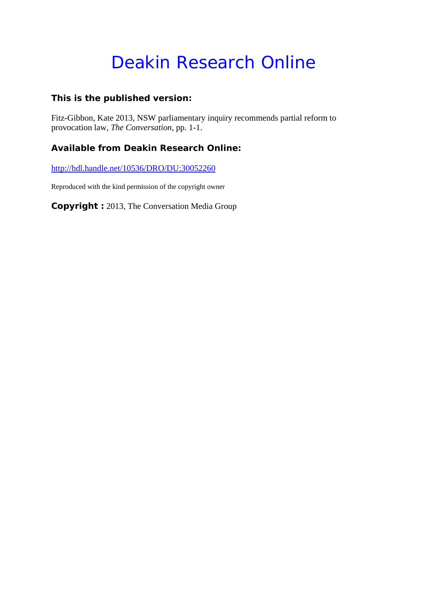# Deakin Research Online

### **This is the published version:**

Fitz-Gibbon, Kate 2013, NSW parliamentary inquiry recommends partial reform to provocation law*, The Conversation*, pp. 1-1.

### **Available from Deakin Research Online:**

http://hdl.handle.net/10536/DRO/DU:30052260

Reproduced with the kind permission of the copyright owner

**Copyright :** 2013, The Conversation Media Group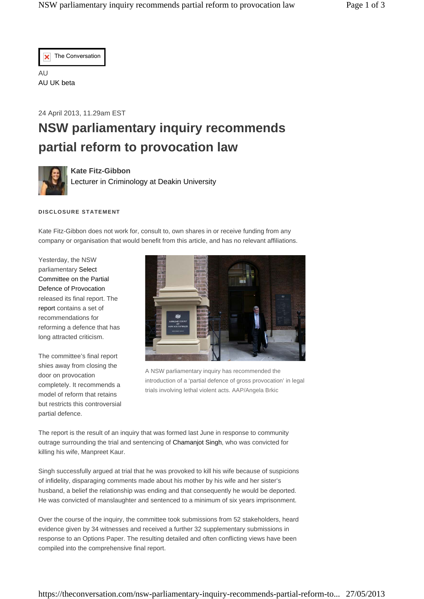

AU AU UK beta

24 April 2013, 11.29am EST

## **NSW parliamentary inquiry recommends partial reform to provocation law**



**Kate Fitz-Gibbon**  Lecturer in Criminology at Deakin University

#### **DISCLOSURE STATEMENT**

Kate Fitz-Gibbon does not work for, consult to, own shares in or receive funding from any company or organisation that would benefit from this article, and has no relevant affiliations.

Yesterday, the NSW parliamentary Select Committee on the Partial Defence of Provocation released its final report. The report contains a set of recommendations for reforming a defence that has long attracted criticism.

The committee's final report shies away from closing the door on provocation completely. It recommends a model of reform that retains but restricts this controversial partial defence.



A NSW parliamentary inquiry has recommended the introduction of a 'partial defence of gross provocation' in legal trials involving lethal violent acts. AAP/Angela Brkic

The report is the result of an inquiry that was formed last June in response to community outrage surrounding the trial and sentencing of Chamanjot Singh, who was convicted for killing his wife, Manpreet Kaur.

Singh successfully argued at trial that he was provoked to kill his wife because of suspicions of infidelity, disparaging comments made about his mother by his wife and her sister's husband, a belief the relationship was ending and that consequently he would be deported. He was convicted of manslaughter and sentenced to a minimum of six years imprisonment.

Over the course of the inquiry, the committee took submissions from 52 stakeholders, heard evidence given by 34 witnesses and received a further 32 supplementary submissions in response to an Options Paper. The resulting detailed and often conflicting views have been compiled into the comprehensive final report.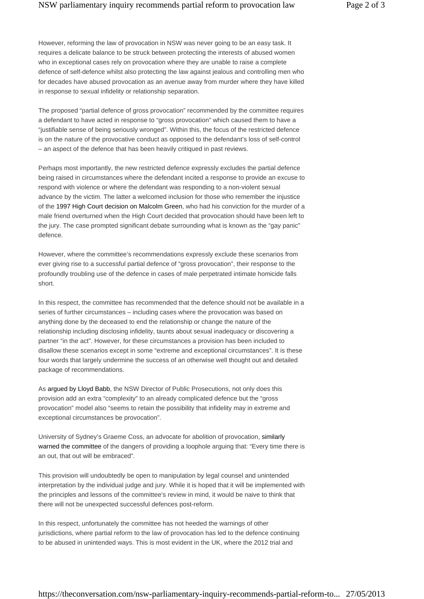However, reforming the law of provocation in NSW was never going to be an easy task. It requires a delicate balance to be struck between protecting the interests of abused women who in exceptional cases rely on provocation where they are unable to raise a complete defence of self-defence whilst also protecting the law against jealous and controlling men who for decades have abused provocation as an avenue away from murder where they have killed in response to sexual infidelity or relationship separation.

The proposed "partial defence of gross provocation" recommended by the committee requires a defendant to have acted in response to "gross provocation" which caused them to have a "justifiable sense of being seriously wronged". Within this, the focus of the restricted defence is on the nature of the provocative conduct as opposed to the defendant's loss of self-control – an aspect of the defence that has been heavily critiqued in past reviews.

Perhaps most importantly, the new restricted defence expressly excludes the partial defence being raised in circumstances where the defendant incited a response to provide an excuse to respond with violence or where the defendant was responding to a non-violent sexual advance by the victim. The latter a welcomed inclusion for those who remember the injustice of the 1997 High Court decision on Malcolm Green, who had his conviction for the murder of a male friend overturned when the High Court decided that provocation should have been left to the jury. The case prompted significant debate surrounding what is known as the "gay panic" defence.

However, where the committee's recommendations expressly exclude these scenarios from ever giving rise to a successful partial defence of "gross provocation", their response to the profoundly troubling use of the defence in cases of male perpetrated intimate homicide falls short.

In this respect, the committee has recommended that the defence should not be available in a series of further circumstances – including cases where the provocation was based on anything done by the deceased to end the relationship or change the nature of the relationship including disclosing infidelity, taunts about sexual inadequacy or discovering a partner "in the act". However, for these circumstances a provision has been included to disallow these scenarios except in some "extreme and exceptional circumstances". It is these four words that largely undermine the success of an otherwise well thought out and detailed package of recommendations.

As argued by Lloyd Babb, the NSW Director of Public Prosecutions, not only does this provision add an extra "complexity" to an already complicated defence but the "gross provocation" model also "seems to retain the possibility that infidelity may in extreme and exceptional circumstances be provocation".

University of Sydney's Graeme Coss, an advocate for abolition of provocation, similarly warned the committee of the dangers of providing a loophole arguing that: "Every time there is an out, that out will be embraced".

This provision will undoubtedly be open to manipulation by legal counsel and unintended interpretation by the individual judge and jury. While it is hoped that it will be implemented with the principles and lessons of the committee's review in mind, it would be naive to think that there will not be unexpected successful defences post-reform.

In this respect, unfortunately the committee has not heeded the warnings of other jurisdictions, where partial reform to the law of provocation has led to the defence continuing to be abused in unintended ways. This is most evident in the UK, where the 2012 trial and